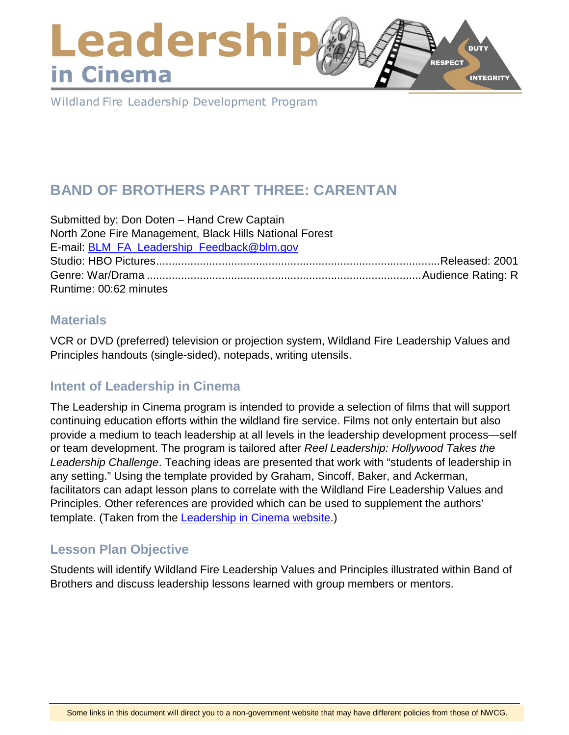### Leadershi **DUTY RESPECT** in Cinema **INTEGRITY**

Wildland Fire Leadership Development Program

# **BAND OF BROTHERS PART THREE: CARENTAN**

Submitted by: Don Doten – Hand Crew Captain North Zone Fire Management, Black Hills National Forest E-mail: [BLM\\_FA\\_Leadership\\_Feedback@blm.gov](mailto:BLM_FA_Leadership_Feedback@blm.gov) Studio: HBO Pictures...........................................................................................Released: 2001 Genre: War/Drama ........................................................................................Audience Rating: R Runtime: 00:62 minutes

#### **Materials**

VCR or DVD (preferred) television or projection system, Wildland Fire Leadership Values and Principles handouts (single-sided), notepads, writing utensils.

# **Intent of Leadership in Cinema**

The Leadership in Cinema program is intended to provide a selection of films that will support continuing education efforts within the wildland fire service. Films not only entertain but also provide a medium to teach leadership at all levels in the leadership development process—self or team development. The program is tailored after *Reel Leadership: Hollywood Takes the Leadership Challenge*. Teaching ideas are presented that work with "students of leadership in any setting." Using the template provided by Graham, Sincoff, Baker, and Ackerman, facilitators can adapt lesson plans to correlate with the Wildland Fire Leadership Values and Principles. Other references are provided which can be used to supplement the authors' template. (Taken from the [Leadership in Cinema website.](https://www.fireleadership.gov/))

#### **Lesson Plan Objective**

Students will identify Wildland Fire Leadership Values and Principles illustrated within Band of Brothers and discuss leadership lessons learned with group members or mentors.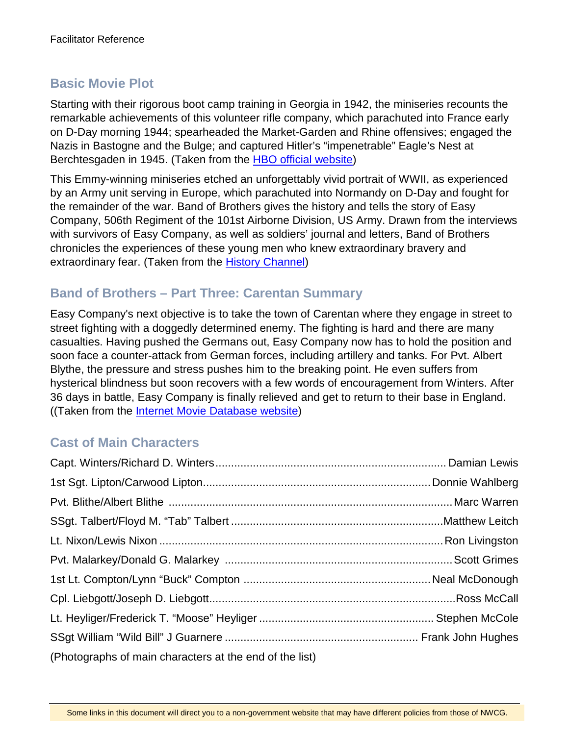# **Basic Movie Plot**

Starting with their rigorous boot camp training in Georgia in 1942, the miniseries recounts the remarkable achievements of this volunteer rifle company, which parachuted into France early on D-Day morning 1944; spearheaded the Market-Garden and Rhine offensives; engaged the Nazis in Bastogne and the Bulge; and captured Hitler's "impenetrable" Eagle's Nest at Berchtesgaden in 1945. (Taken from the [HBO official website\)](http://www.hbo.com/band/landing/currahee.html)

This Emmy-winning miniseries etched an unforgettably vivid portrait of WWII, as experienced by an Army unit serving in Europe, which parachuted into Normandy on D-Day and fought for the remainder of the war. Band of Brothers gives the history and tells the story of Easy Company, 506th Regiment of the 101st Airborne Division, US Army. Drawn from the interviews with survivors of Easy Company, as well as soldiers' journal and letters, Band of Brothers chronicles the experiences of these young men who knew extraordinary bravery and extraordinary fear. (Taken from the [History Channel\)](http://www.history.com/topics/d-day)

### **Band of Brothers – Part Three: Carentan Summary**

Easy Company's next objective is to take the town of Carentan where they engage in street to street fighting with a doggedly determined enemy. The fighting is hard and there are many casualties. Having pushed the Germans out, Easy Company now has to hold the position and soon face a counter-attack from German forces, including artillery and tanks. For Pvt. Albert Blythe, the pressure and stress pushes him to the breaking point. He even suffers from hysterical blindness but soon recovers with a few words of encouragement from Winters. After 36 days in battle, Easy Company is finally relieved and get to return to their base in England. ((Taken from the [Internet Movie Database website\)](http://www.imdb.com/title/tt1245384/synopsis)

#### **Cast of Main Characters**

| (Photographs of main characters at the end of the list) |  |
|---------------------------------------------------------|--|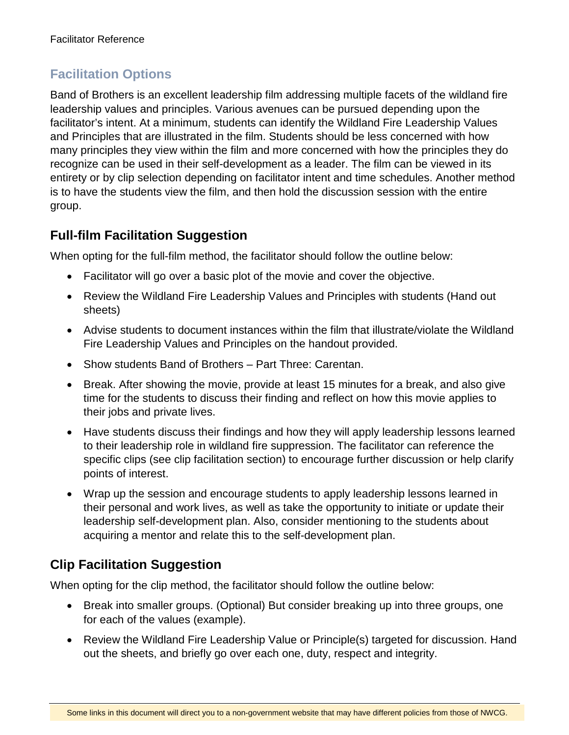# **Facilitation Options**

Band of Brothers is an excellent leadership film addressing multiple facets of the wildland fire leadership values and principles. Various avenues can be pursued depending upon the facilitator's intent. At a minimum, students can identify the Wildland Fire Leadership Values and Principles that are illustrated in the film. Students should be less concerned with how many principles they view within the film and more concerned with how the principles they do recognize can be used in their self-development as a leader. The film can be viewed in its entirety or by clip selection depending on facilitator intent and time schedules. Another method is to have the students view the film, and then hold the discussion session with the entire group.

### **Full-film Facilitation Suggestion**

When opting for the full-film method, the facilitator should follow the outline below:

- Facilitator will go over a basic plot of the movie and cover the objective.
- Review the Wildland Fire Leadership Values and Principles with students (Hand out sheets)
- Advise students to document instances within the film that illustrate/violate the Wildland Fire Leadership Values and Principles on the handout provided.
- Show students Band of Brothers Part Three: Carentan.
- Break. After showing the movie, provide at least 15 minutes for a break, and also give time for the students to discuss their finding and reflect on how this movie applies to their jobs and private lives.
- Have students discuss their findings and how they will apply leadership lessons learned to their leadership role in wildland fire suppression. The facilitator can reference the specific clips (see clip facilitation section) to encourage further discussion or help clarify points of interest.
- Wrap up the session and encourage students to apply leadership lessons learned in their personal and work lives, as well as take the opportunity to initiate or update their leadership self-development plan. Also, consider mentioning to the students about acquiring a mentor and relate this to the self-development plan.

# **Clip Facilitation Suggestion**

When opting for the clip method, the facilitator should follow the outline below:

- Break into smaller groups. (Optional) But consider breaking up into three groups, one for each of the values (example).
- Review the Wildland Fire Leadership Value or Principle(s) targeted for discussion. Hand out the sheets, and briefly go over each one, duty, respect and integrity.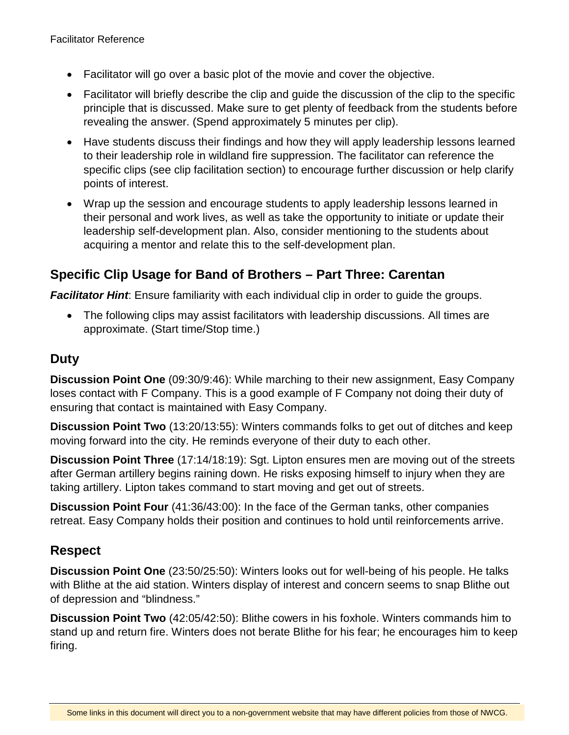- Facilitator will go over a basic plot of the movie and cover the objective.
- Facilitator will briefly describe the clip and quide the discussion of the clip to the specific principle that is discussed. Make sure to get plenty of feedback from the students before revealing the answer. (Spend approximately 5 minutes per clip).
- Have students discuss their findings and how they will apply leadership lessons learned to their leadership role in wildland fire suppression. The facilitator can reference the specific clips (see clip facilitation section) to encourage further discussion or help clarify points of interest.
- Wrap up the session and encourage students to apply leadership lessons learned in their personal and work lives, as well as take the opportunity to initiate or update their leadership self-development plan. Also, consider mentioning to the students about acquiring a mentor and relate this to the self-development plan.

#### **Specific Clip Usage for Band of Brothers – Part Three: Carentan**

**Facilitator Hint**: Ensure familiarity with each individual clip in order to guide the groups.

• The following clips may assist facilitators with leadership discussions. All times are approximate. (Start time/Stop time.)

# **Duty**

**Discussion Point One** (09:30/9:46): While marching to their new assignment, Easy Company loses contact with F Company. This is a good example of F Company not doing their duty of ensuring that contact is maintained with Easy Company.

**Discussion Point Two** (13:20/13:55): Winters commands folks to get out of ditches and keep moving forward into the city. He reminds everyone of their duty to each other.

**Discussion Point Three** (17:14/18:19): Sgt. Lipton ensures men are moving out of the streets after German artillery begins raining down. He risks exposing himself to injury when they are taking artillery. Lipton takes command to start moving and get out of streets.

**Discussion Point Four** (41:36/43:00): In the face of the German tanks, other companies retreat. Easy Company holds their position and continues to hold until reinforcements arrive.

# **Respect**

**Discussion Point One** (23:50/25:50): Winters looks out for well-being of his people. He talks with Blithe at the aid station. Winters display of interest and concern seems to snap Blithe out of depression and "blindness."

**Discussion Point Two** (42:05/42:50): Blithe cowers in his foxhole. Winters commands him to stand up and return fire. Winters does not berate Blithe for his fear; he encourages him to keep firing.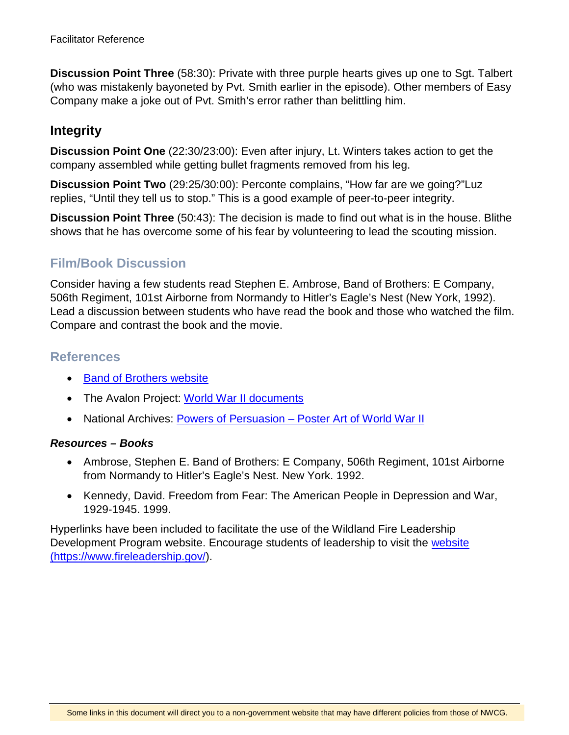**Discussion Point Three** (58:30): Private with three purple hearts gives up one to Sgt. Talbert (who was mistakenly bayoneted by Pvt. Smith earlier in the episode). Other members of Easy Company make a joke out of Pvt. Smith's error rather than belittling him.

### **Integrity**

**Discussion Point One** (22:30/23:00): Even after injury, Lt. Winters takes action to get the company assembled while getting bullet fragments removed from his leg.

**Discussion Point Two** (29:25/30:00): Perconte complains, "How far are we going?"Luz replies, "Until they tell us to stop." This is a good example of peer-to-peer integrity.

**Discussion Point Three** (50:43): The decision is made to find out what is in the house. Blithe shows that he has overcome some of his fear by volunteering to lead the scouting mission.

# **Film/Book Discussion**

Consider having a few students read Stephen E. Ambrose, Band of Brothers: E Company, 506th Regiment, 101st Airborne from Normandy to Hitler's Eagle's Nest (New York, 1992). Lead a discussion between students who have read the book and those who watched the film. Compare and contrast the book and the movie.

#### **References**

- [Band of Brothers website](http://www.hbo.com/band/landing/currahee.html)
- The Avalon Project: [World War II documents](http://avalon.law.yale.edu/subject_menus/wwii.asp)
- National Archives: [Powers of Persuasion Poster Art of World War II](https://www.archives.gov/education/lessons/wwii-posters)

#### *Resources – Books*

- Ambrose, Stephen E. Band of Brothers: E Company, 506th Regiment, 101st Airborne from Normandy to Hitler's Eagle's Nest. New York. 1992.
- Kennedy, David. Freedom from Fear: The American People in Depression and War, 1929-1945. 1999.

Hyperlinks have been included to facilitate the use of the Wildland Fire Leadership Development Program website. Encourage students of leadership to visit the [website](https://www.fireleadership.gov/)  [\(https://www.fireleadership.gov/\)](https://www.fireleadership.gov/).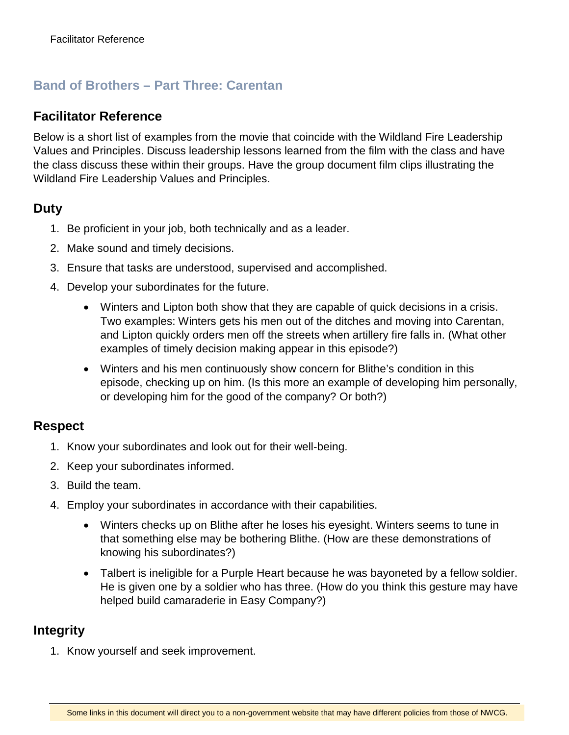# **Band of Brothers – Part Three: Carentan**

#### **Facilitator Reference**

Below is a short list of examples from the movie that coincide with the Wildland Fire Leadership Values and Principles. Discuss leadership lessons learned from the film with the class and have the class discuss these within their groups. Have the group document film clips illustrating the Wildland Fire Leadership Values and Principles.

#### **Duty**

- 1. Be proficient in your job, both technically and as a leader.
- 2. Make sound and timely decisions.
- 3. Ensure that tasks are understood, supervised and accomplished.
- 4. Develop your subordinates for the future.
	- Winters and Lipton both show that they are capable of quick decisions in a crisis. Two examples: Winters gets his men out of the ditches and moving into Carentan, and Lipton quickly orders men off the streets when artillery fire falls in. (What other examples of timely decision making appear in this episode?)
	- Winters and his men continuously show concern for Blithe's condition in this episode, checking up on him. (Is this more an example of developing him personally, or developing him for the good of the company? Or both?)

#### **Respect**

- 1. Know your subordinates and look out for their well-being.
- 2. Keep your subordinates informed.
- 3. Build the team.
- 4. Employ your subordinates in accordance with their capabilities.
	- Winters checks up on Blithe after he loses his eyesight. Winters seems to tune in that something else may be bothering Blithe. (How are these demonstrations of knowing his subordinates?)
	- Talbert is ineligible for a Purple Heart because he was bayoneted by a fellow soldier. He is given one by a soldier who has three. (How do you think this gesture may have helped build camaraderie in Easy Company?)

#### **Integrity**

1. Know yourself and seek improvement.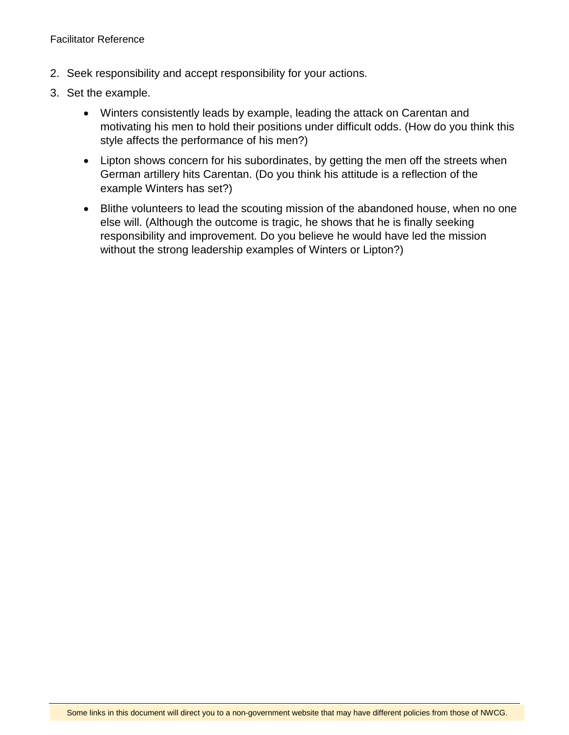- 2. Seek responsibility and accept responsibility for your actions.
- 3. Set the example.
	- Winters consistently leads by example, leading the attack on Carentan and motivating his men to hold their positions under difficult odds. (How do you think this style affects the performance of his men?)
	- Lipton shows concern for his subordinates, by getting the men off the streets when German artillery hits Carentan. (Do you think his attitude is a reflection of the example Winters has set?)
	- Blithe volunteers to lead the scouting mission of the abandoned house, when no one else will. (Although the outcome is tragic, he shows that he is finally seeking responsibility and improvement. Do you believe he would have led the mission without the strong leadership examples of Winters or Lipton?)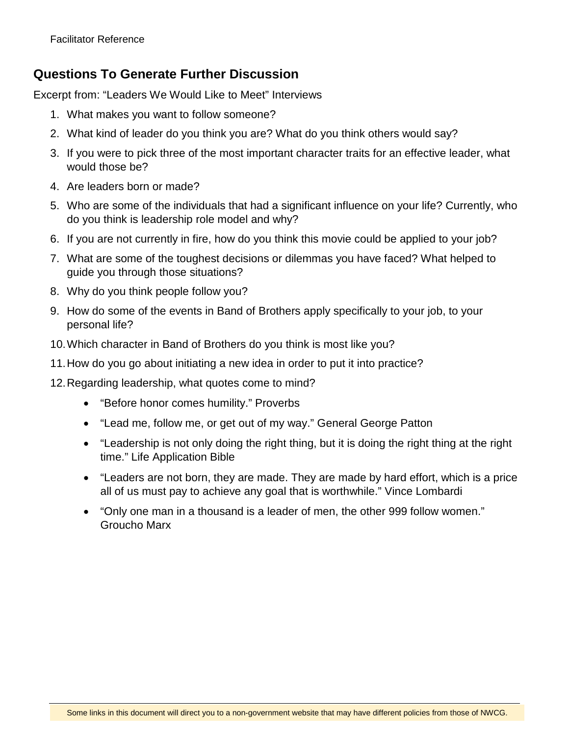### **Questions To Generate Further Discussion**

Excerpt from: "Leaders We Would Like to Meet" Interviews

- 1. What makes you want to follow someone?
- 2. What kind of leader do you think you are? What do you think others would say?
- 3. If you were to pick three of the most important character traits for an effective leader, what would those be?
- 4. Are leaders born or made?
- 5. Who are some of the individuals that had a significant influence on your life? Currently, who do you think is leadership role model and why?
- 6. If you are not currently in fire, how do you think this movie could be applied to your job?
- 7. What are some of the toughest decisions or dilemmas you have faced? What helped to guide you through those situations?
- 8. Why do you think people follow you?
- 9. How do some of the events in Band of Brothers apply specifically to your job, to your personal life?
- 10.Which character in Band of Brothers do you think is most like you?
- 11.How do you go about initiating a new idea in order to put it into practice?
- 12.Regarding leadership, what quotes come to mind?
	- "Before honor comes humility." Proverbs
	- "Lead me, follow me, or get out of my way." General George Patton
	- "Leadership is not only doing the right thing, but it is doing the right thing at the right time." Life Application Bible
	- "Leaders are not born, they are made. They are made by hard effort, which is a price all of us must pay to achieve any goal that is worthwhile." Vince Lombardi
	- "Only one man in a thousand is a leader of men, the other 999 follow women." Groucho Marx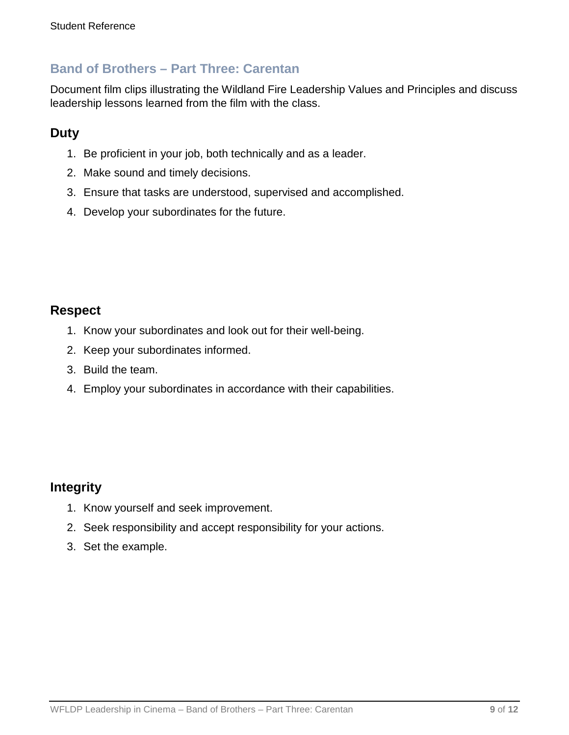### **Band of Brothers – Part Three: Carentan**

Document film clips illustrating the Wildland Fire Leadership Values and Principles and discuss leadership lessons learned from the film with the class.

### **Duty**

- 1. Be proficient in your job, both technically and as a leader.
- 2. Make sound and timely decisions.
- 3. Ensure that tasks are understood, supervised and accomplished.
- 4. Develop your subordinates for the future.

#### **Respect**

- 1. Know your subordinates and look out for their well-being.
- 2. Keep your subordinates informed.
- 3. Build the team.
- 4. Employ your subordinates in accordance with their capabilities.

#### **Integrity**

- 1. Know yourself and seek improvement.
- 2. Seek responsibility and accept responsibility for your actions.
- 3. Set the example.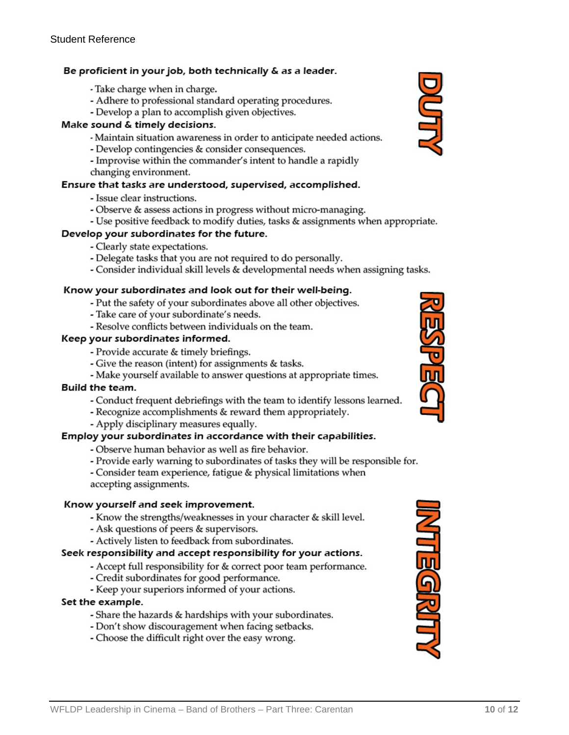#### Be proficient in your job, both technically & as a leader.

- Take charge when in charge.
- Adhere to professional standard operating procedures.
- Develop a plan to accomplish given objectives.

#### Make sound & timely decisions.

- Maintain situation awareness in order to anticipate needed actions.
- Develop contingencies & consider consequences.
- Improvise within the commander's intent to handle a rapidly changing environment.

#### Ensure that tasks are understood, supervised, accomplished.

- Issue clear instructions.
- Observe & assess actions in progress without micro-managing.
- Use positive feedback to modify duties, tasks & assignments when appropriate.

#### Develop your subordinates for the future.

- Clearly state expectations.
- Delegate tasks that you are not required to do personally.
- Consider individual skill levels & developmental needs when assigning tasks.

#### Know your subordinates and look out for their well-being.

- Put the safety of your subordinates above all other objectives.
- Take care of your subordinate's needs.
- Resolve conflicts between individuals on the team.

#### Keep your subordinates informed.

- Provide accurate & timely briefings.
- Give the reason (intent) for assignments & tasks.
- Make yourself available to answer questions at appropriate times.

#### **Build the team.**

- Conduct frequent debriefings with the team to identify lessons learned.

- Recognize accomplishments & reward them appropriately.

- Apply disciplinary measures equally.

#### Employ your subordinates in accordance with their capabilities.

- Observe human behavior as well as fire behavior.
- Provide early warning to subordinates of tasks they will be responsible for.
- Consider team experience, fatigue & physical limitations when accepting assignments.

#### Know yourself and seek improvement.

- Know the strengths/weaknesses in your character & skill level.
- Ask questions of peers & supervisors.
- Actively listen to feedback from subordinates.

#### Seek responsibility and accept responsibility for your actions.

- Accept full responsibility for & correct poor team performance.
- Credit subordinates for good performance.
- Keep your superiors informed of your actions.

#### Set the example.

- Share the hazards & hardships with your subordinates.
- Don't show discouragement when facing setbacks.
- Choose the difficult right over the easy wrong.





**MNDELIN**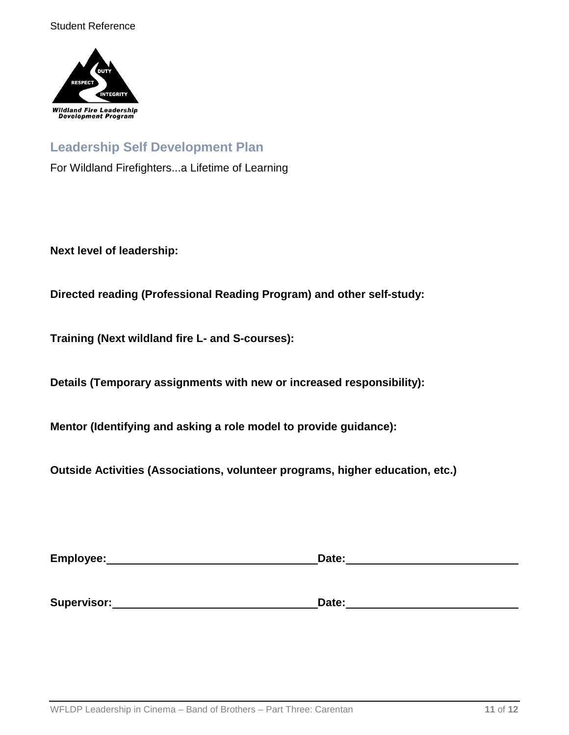

### **Leadership Self Development Plan**

For Wildland Firefighters...a Lifetime of Learning

**Next level of leadership:**

**Directed reading (Professional Reading Program) and other self-study:**

**Training (Next wildland fire L- and S-courses):**

**Details (Temporary assignments with new or increased responsibility):**

**Mentor (Identifying and asking a role model to provide guidance):**

**Outside Activities (Associations, volunteer programs, higher education, etc.)**

| Employee:   | Date: |
|-------------|-------|
|             |       |
| Supervisor: | Date: |